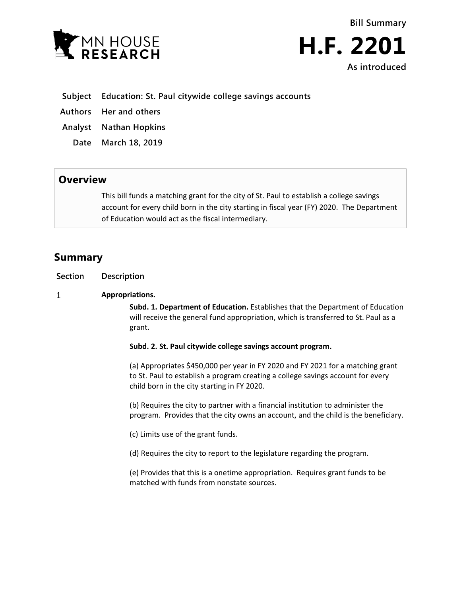



- **Subject Education: St. Paul citywide college savings accounts**
- **Authors Her and others**
- **Analyst Nathan Hopkins**
- **Date March 18, 2019**

## **Overview**

This bill funds a matching grant for the city of St. Paul to establish a college savings account for every child born in the city starting in fiscal year (FY) 2020. The Department of Education would act as the fiscal intermediary.

## **Summary**

| Section | <b>Description</b>                                                                                                                                                                                                |
|---------|-------------------------------------------------------------------------------------------------------------------------------------------------------------------------------------------------------------------|
| 1       | Appropriations.                                                                                                                                                                                                   |
|         | Subd. 1. Department of Education. Establishes that the Department of Education<br>will receive the general fund appropriation, which is transferred to St. Paul as a<br>grant.                                    |
|         | Subd. 2. St. Paul citywide college savings account program.                                                                                                                                                       |
|         | (a) Appropriates \$450,000 per year in FY 2020 and FY 2021 for a matching grant<br>to St. Paul to establish a program creating a college savings account for every<br>child born in the city starting in FY 2020. |
|         | (b) Requires the city to partner with a financial institution to administer the<br>program. Provides that the city owns an account, and the child is the beneficiary.                                             |
|         | (c) Limits use of the grant funds.                                                                                                                                                                                |
|         | (d) Requires the city to report to the legislature regarding the program.                                                                                                                                         |
|         | (e) Provides that this is a onetime appropriation. Requires grant funds to be<br>matched with funds from nonstate sources.                                                                                        |
|         |                                                                                                                                                                                                                   |
|         |                                                                                                                                                                                                                   |